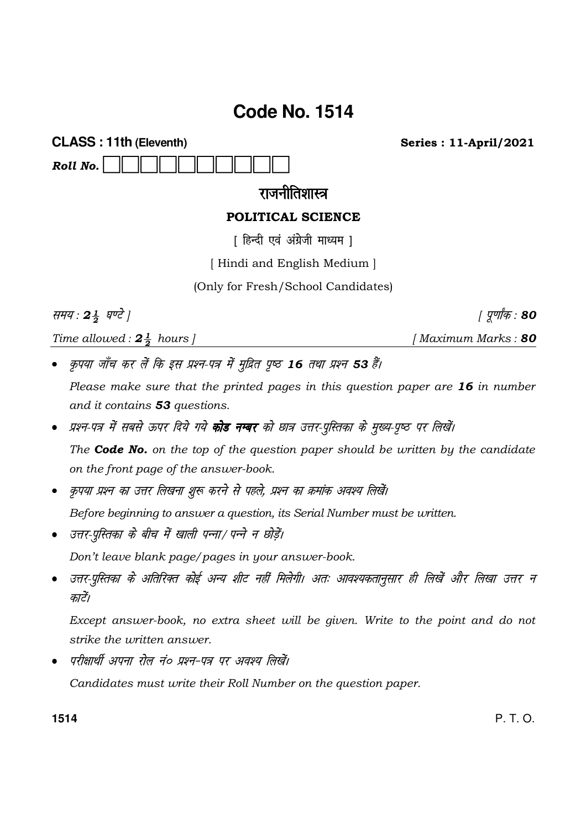# Code No. 1514

**CLASS: 11th (Eleventh)** Roll No.

**Series: 11-April/2021** 

## राजनीतिशास्त्र

## POLITICAL SCIENCE

[ हिन्दी एवं अंग्रेजी माध्यम ]

[Hindi and English Medium]

(Only for Fresh/School Candidates)

समय: 24 घण्टे ]

Time allowed :  $2\frac{1}{2}$  hours ]

[Maximum Marks: 80

| पुर्णांक : 80

- कृपया जाँच कर लें कि इस प्रश्न-पत्र में मुद्रित पृष्ठ 16 तथा प्रश्न 53 हैं। Please make sure that the printed pages in this question paper are 16 in number and it contains 53 questions.
- प्रश्न-पत्र में सबसे ऊपर दिये गये **कोड नम्बर** को छात्र उत्तर-पुस्तिका के मुख्य-पुष्ठ पर लिखें। The **Code No.** on the top of the question paper should be written by the candidate on the front page of the answer-book.
- कृपया प्रश्न का उत्तर लिखना शुरू करने से पहले, प्रश्न का क्रमांक अवश्य लिखें। Before beginning to answer a question, its Serial Number must be written.
- उत्तर-पुस्तिका के बीच में खाली पन्ना/ पन्ने न छोडें। Don't leave blank page/pages in your answer-book.
- उत्तर-पुस्तिका के अतिरिक्त कोई अन्य शीट नहीं मिलेगी। अतः आवश्यकतानुसार ही लिखें और लिखा उत्तर न काटें।

Except answer-book, no extra sheet will be given. Write to the point and do not strike the *uritten* answer.

परीक्षार्थी अपना रोल नं० प्रश्न-पत्र पर अवश्य लिखें।  $\bullet$ 

Candidates must write their Roll Number on the question paper.

1514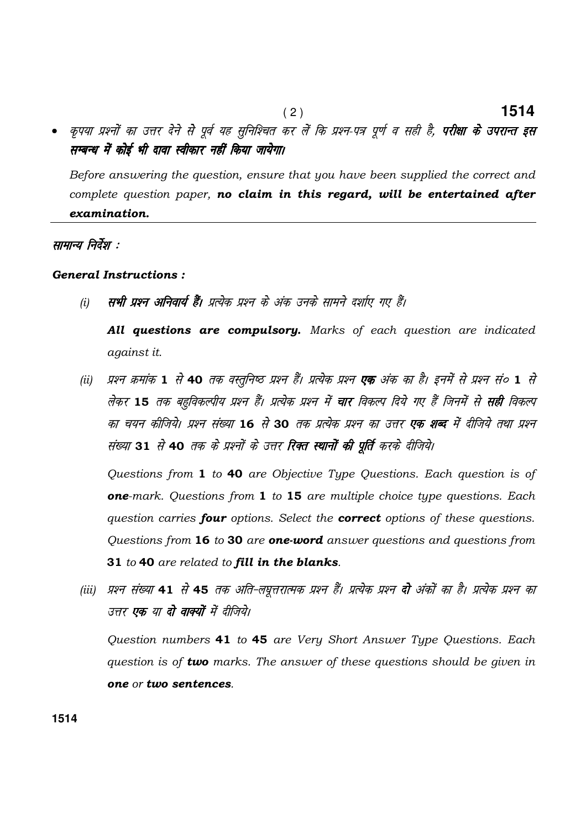कृपया प्रश्नों का उत्तर देने से पूर्व यह सुनिश्चित कर लें कि प्रश्न-पत्र पूर्ण व सही है, **परीक्षा के उपरान्त इस** सम्बन्ध में कोई भी दावा स्वीकार नहीं किया जायेगा।

 $(2)$ 

1514

Before answering the question, ensure that you have been supplied the correct and complete question paper, no claim in this regard, will be entertained after examination.

## सामान्य निर्देश :

#### **General Instructions:**

सभी प्रश्न अनिवार्य हैं। प्रत्येक प्रश्न के अंक उनके सामने दर्शाए गए हैं।  $(i)$ 

All questions are compulsory. Marks of each question are indicated against it.

(ii) प्रश्न क्रमांक 1 से 40 तक वस्तुनिष्ठ प्रश्न हैं। प्रत्येक प्रश्न **एक** अंक का है। इनमें से प्रश्न सं० 1 से लेकर 15 तक बहुविकल्पीय प्रश्न हैं। प्रत्येक प्रश्न में चार विकल्प दिये गए हैं जिनमें से सही विकल्प का चयन कीजिये। प्रश्न संख्या 16 से 30 तक प्रत्येक प्रश्न का उत्तर **एक शब्द** में दीजिये तथा प्रश्न संख्या 31 से 40 तक के प्रश्नों के उत्तर रिक्त स्थानों की पूर्ति करके दीजिये।

Questions from 1 to 40 are Objective Type Questions. Each question is of one-mark. Questions from 1 to 15 are multiple choice type questions. Each question carries four options. Select the correct options of these questions. Questions from 16 to 30 are one-word answer questions and questions from 31 to 40 are related to fill in the blanks.

(iii) प्रश्न संख्या 41 से 45 तक अति-लघुत्तरात्मक प्रश्न हैं। प्रत्येक प्रश्न **दो** अंकों का है। प्रत्येक प्रश्न का उत्तर एक या दो वाक्यों में दीजिये।

Question numbers 41 to 45 are Very Short Answer Type Questions. Each question is of two marks. The answer of these questions should be given in one or two sentences.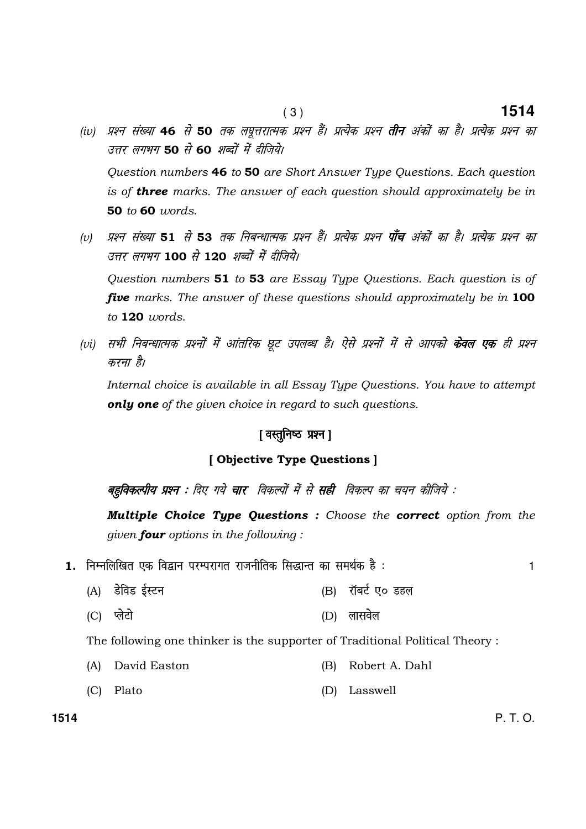- (iv) प्रश्न संख्या 46 से 50 तक लघूत्तरात्मक प्रश्न हैं। प्रत्येक प्रश्न **तीन** अंकों का है। प्रत्येक प्रश्न का उत्तर लगभग 50 से 60 शब्दों में दीजिये। Question numbers 46 to 50 are Short Answer Type Questions. Each question is of **three** marks. The answer of each question should approximately be in 50 to 60 words.
- (v) प्रश्न संख्या 51 से 53 तक निबन्धात्मक प्रश्न हैं। प्रत्येक प्रश्न **पाँच** अंकों का है। प्रत्येक प्रश्न का उत्तर लगभग 100 से 120 शब्दों में दीजिये। Question numbers 51 to 53 are Essay Type Questions. Each question is of five marks. The answer of these questions should approximately be in 100 to 120 words.
- (vi) सभी निबन्धात्मक प्रश्नों में आंतरिक छूट उपलब्ध है। ऐसे प्रश्नों में से आपको **केवल एक** ही प्रश्न करना है।

 Internal choice is available in all Essay Type Questions. You have to attempt only one of the given choice in regard to such questions.

### [ वस्तुनिष्ठ प्रश्न ]

#### [ Objective Type Questions ]

बहुविकल्पीय प्रश्न : दिए गये चार विकल्पों में से सही विकल्प का चयन कीजिये :

Multiple Choice Type Questions : Choose the correct option from the given **four** options in the following:

- 1. fuEufyf[kr ,d fo}ku ijEijkxr jktuhfrd fl)kUr dk leFkZd gS % 1
	- (A) MsfoM bZLVu (B) jkWcVZ ,0 Mgy
	- (C) IysVks (D) yklo sy

The following one thinker is the supporter of Traditional Political Theory :

- (A) David Easton (B) Robert A. Dahl
- (C) Plato (D) Lasswell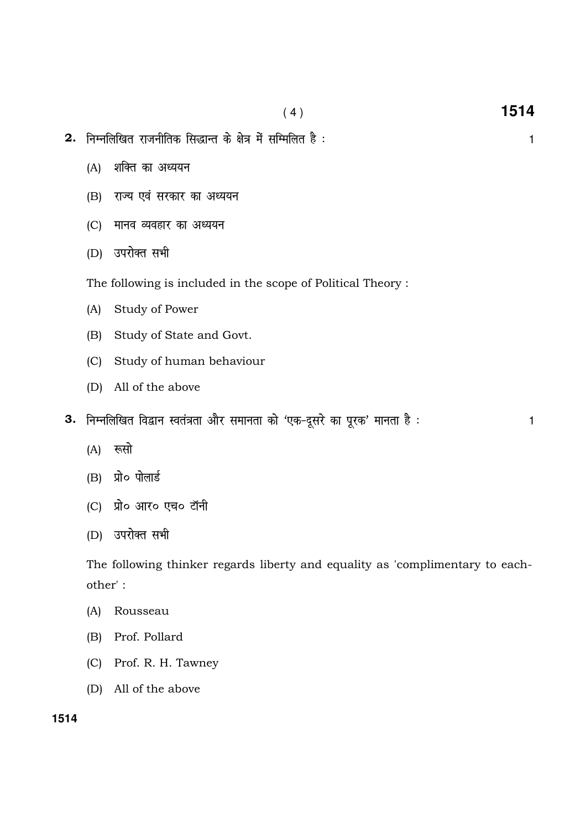- 2. निम्नलिखित राजनीतिक सिद्धान्त के क्षेत्र में सम्मिलित है : बाद का सामान कर ना सामान कर ना सामान क
	- (A) शक्ति का अध्ययन
	- (B) राज्य एवं सरकार का अध्ययन
	- (C) मानव व्यवहार का अध्ययन
	- (D) उपरोक्त सभी

The following is included in the scope of Political Theory :

- (A) Study of Power
- (B) Study of State and Govt.
- (C) Study of human behaviour
- (D) All of the above
- 3. निम्नलिखित विद्वान स्वतंत्रता और समानता को 'एक-दूसरे का पूरक' मानता है : 1
	- $(A)$  रूसो
	- $(B)$  प्रो $\circ$  पोलार्ड
	- (C) प्रो० आर० एच० टॉनी
	- (D) उपरोक्त सभी

The following thinker regards liberty and equality as 'complimentary to eachother' :

- (A) Rousseau
- (B) Prof. Pollard
- (C) Prof. R. H. Tawney
- (D) All of the above

( 4 ) **1514**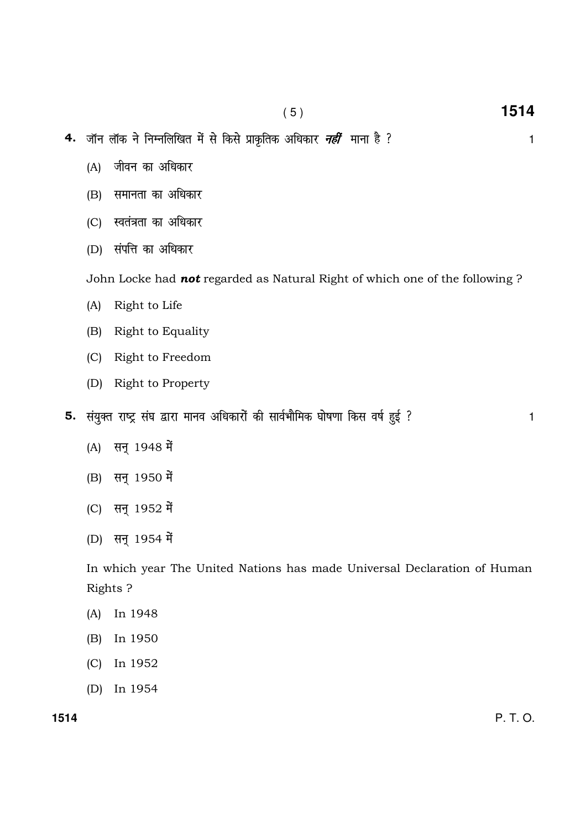- $(5)$
- 4. जॉन लॉक ने निम्नलिखित में से किसे प्राकृतिक अधिकार *नहीं* माना है ?
	- (A) जीवन का अधिकार
	- (B) समानता का अधिकार
	- (C) स्वतंत्रता का अधिकार
	- (D) संपत्ति का अधिकार

John Locke had not regarded as Natural Right of which one of the following ?

- $(A)$ Right to Life
- Right to Equality  $(B)$
- (C) Right to Freedom
- (D) Right to Property
- 5. संयुक्त राष्ट्र संघ द्वारा मानव अधिकारों की सार्वभौमिक घोषणा किस वर्ष हुई ?
	- सन् 1948 में  $(A)$
	- (B) सन् 1950 में
	- (C) सन् 1952 में
	- (D) सन् 1954 में

In which year The United Nations has made Universal Declaration of Human Rights?

- $(A)$ In 1948
- $(B)$ In 1950
- In 1952  $(C)$
- (D) In 1954

1514

P. T. O.

1514

 $\mathbf{1}$ 

 $\mathbf{1}$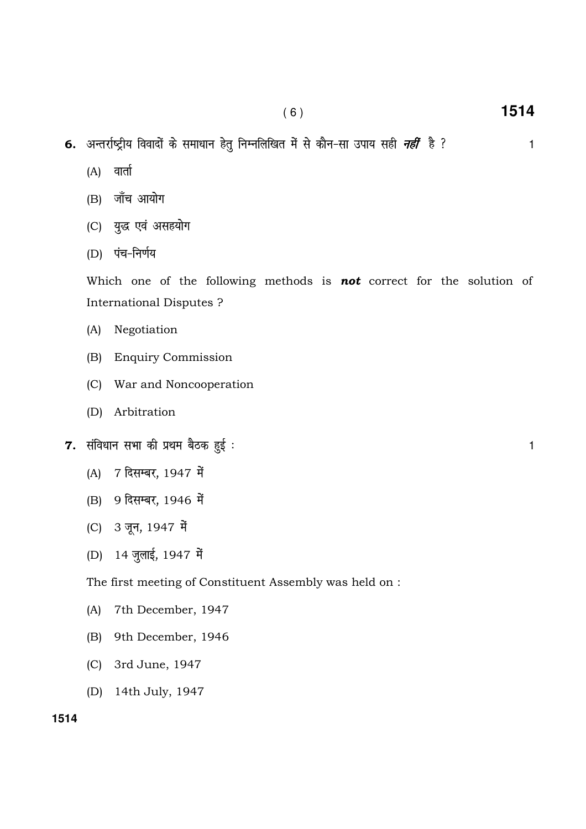- 6. अन्तर्राष्ट्रीय विवादों के समाधान हेतु निम्नलिखित में से कौन-सा उपाय सही *नहीं* है ?
	- वार्ता  $(A)$
	- (B) जाँच आयोग
	- युद्ध एवं असहयोग  $(C)$
	- (D) पंच-निर्णय

Which one of the following methods is **not** correct for the solution of **International Disputes?** 

- Negotiation  $(A)$
- $(B)$ **Enquiry Commission**
- (C) War and Noncooperation
- (D) Arbitration
- 7. संविधान सभा की प्रथम बैठक हुई:
	- 7 दिसम्बर, 1947 में  $(A)$
	- (B) 9 दिसम्बर, 1946 में
	- (C) 3 जून, 1947 में
	- (D) 14 जुलाई, 1947 में

#### The first meeting of Constituent Assembly was held on :

- 7th December, 1947  $(A)$
- 9th December, 1946  $(B)$
- (C) 3rd June, 1947
- (D) 14th July, 1947

 $\mathbf{1}$ 

1514

 $\mathbf{1}$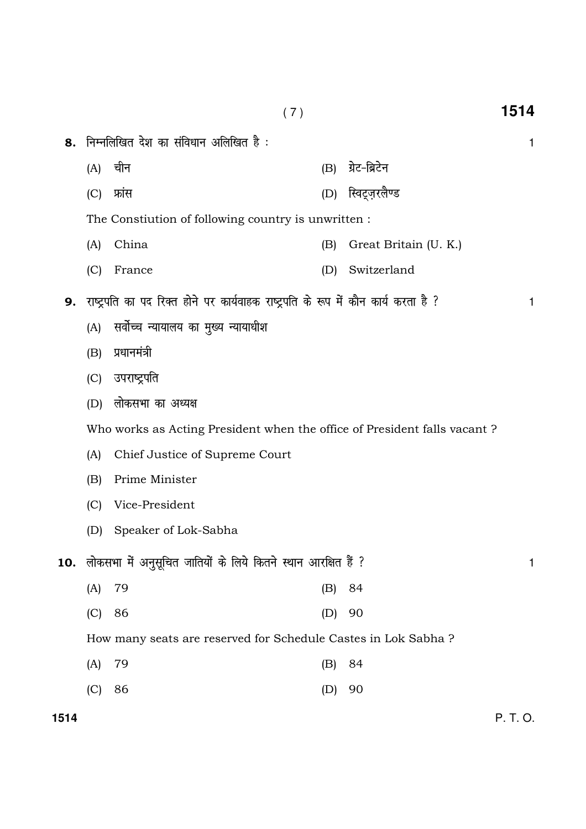|                                                                   |                                                                          |                                                                                    | (7) |                      | 1514 |  |  |  |  |
|-------------------------------------------------------------------|--------------------------------------------------------------------------|------------------------------------------------------------------------------------|-----|----------------------|------|--|--|--|--|
| 8.                                                                |                                                                          | निम्नलिखित देश का संविधान अलिखित है :                                              |     |                      | 1    |  |  |  |  |
|                                                                   | (A)                                                                      | चीन                                                                                | (B) | ग्रेट-ब्रिटेन        |      |  |  |  |  |
|                                                                   | (C)                                                                      | फ्रांस                                                                             | (D) | स्विट्ज़रलैण्ड       |      |  |  |  |  |
|                                                                   | The Constiution of following country is unwritten :                      |                                                                                    |     |                      |      |  |  |  |  |
|                                                                   | China<br>(A)                                                             |                                                                                    |     | Great Britain (U.K.) |      |  |  |  |  |
|                                                                   | (C)                                                                      | France                                                                             | (D) | Switzerland          |      |  |  |  |  |
| 9.                                                                |                                                                          | राष्ट्रपति का पद रिक्त होने पर कार्यवाहक राष्ट्रपति के रूप में कौन कार्य करता है ? |     |                      | 1    |  |  |  |  |
|                                                                   | (A)                                                                      | सर्वोच्च न्यायालय का मुख्य न्यायाधीश                                               |     |                      |      |  |  |  |  |
|                                                                   | (B)                                                                      | प्रधानमंत्री                                                                       |     |                      |      |  |  |  |  |
|                                                                   | (C)                                                                      | उपराष्ट्रपति                                                                       |     |                      |      |  |  |  |  |
|                                                                   | (D)                                                                      | लोकसभा का अध्यक्ष                                                                  |     |                      |      |  |  |  |  |
|                                                                   | Who works as Acting President when the office of President falls vacant? |                                                                                    |     |                      |      |  |  |  |  |
|                                                                   | Chief Justice of Supreme Court<br>(A)                                    |                                                                                    |     |                      |      |  |  |  |  |
|                                                                   | Prime Minister<br>(B)                                                    |                                                                                    |     |                      |      |  |  |  |  |
|                                                                   | (C)                                                                      | Vice-President                                                                     |     |                      |      |  |  |  |  |
|                                                                   | (D)                                                                      | Speaker of Lok-Sabha                                                               |     |                      |      |  |  |  |  |
| 10. लोकसभा में अनुसूचित जातियों के लिये कितने स्थान आरक्षित हैं ? |                                                                          |                                                                                    |     |                      |      |  |  |  |  |
|                                                                   | (A)                                                                      | 79                                                                                 | (B) | 84                   |      |  |  |  |  |
|                                                                   | (C)                                                                      | 86                                                                                 | (D) | 90                   |      |  |  |  |  |
|                                                                   |                                                                          | How many seats are reserved for Schedule Castes in Lok Sabha?                      |     |                      |      |  |  |  |  |
|                                                                   | (A)                                                                      | 79                                                                                 | (B) | 84                   |      |  |  |  |  |
|                                                                   | (C)                                                                      | 86                                                                                 | (D) | 90                   |      |  |  |  |  |

P. T. O.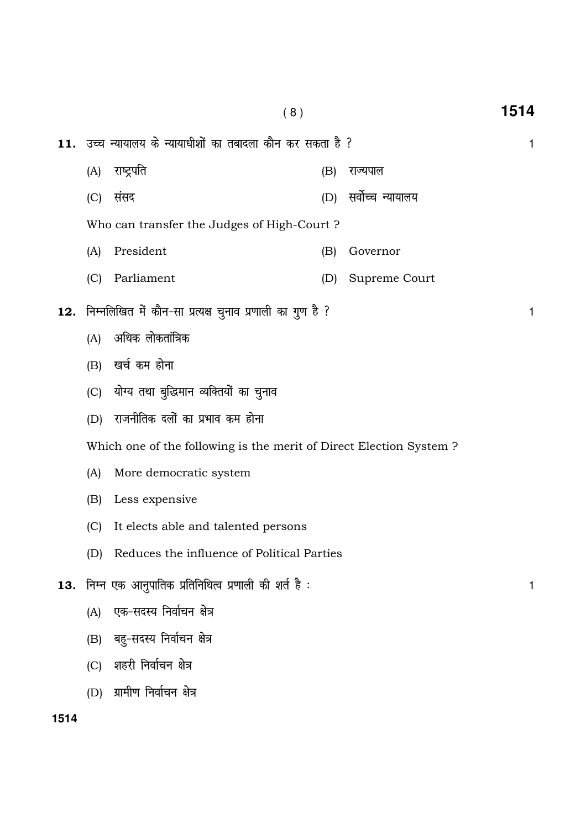| (A)                                                                                             | राष्ट्रपति                                        | (B)                                                             | राज्यपाल                                                      |                                                             |  |  |  |                                                                |  |
|-------------------------------------------------------------------------------------------------|---------------------------------------------------|-----------------------------------------------------------------|---------------------------------------------------------------|-------------------------------------------------------------|--|--|--|----------------------------------------------------------------|--|
| (C)                                                                                             | संसद                                              | (D)                                                             | सर्वोच्च न्यायालय                                             |                                                             |  |  |  |                                                                |  |
| Who can transfer the Judges of High-Court?                                                      |                                                   |                                                                 |                                                               |                                                             |  |  |  |                                                                |  |
| (A)                                                                                             | President<br>(B)<br>Governor<br>Parliament<br>(D) |                                                                 |                                                               |                                                             |  |  |  |                                                                |  |
| (C)                                                                                             |                                                   |                                                                 | Supreme Court                                                 |                                                             |  |  |  |                                                                |  |
|                                                                                                 |                                                   |                                                                 |                                                               | 1                                                           |  |  |  |                                                                |  |
| (A)                                                                                             | अधिक लोकतांत्रिक                                  |                                                                 |                                                               |                                                             |  |  |  |                                                                |  |
|                                                                                                 |                                                   |                                                                 |                                                               |                                                             |  |  |  |                                                                |  |
|                                                                                                 |                                                   |                                                                 |                                                               |                                                             |  |  |  |                                                                |  |
| राजनीतिक दलों का प्रभाव कम होना<br>(D)                                                          |                                                   |                                                                 |                                                               |                                                             |  |  |  |                                                                |  |
| Which one of the following is the merit of Direct Election System?                              |                                                   |                                                                 |                                                               |                                                             |  |  |  |                                                                |  |
| More democratic system<br>(A)                                                                   |                                                   |                                                                 |                                                               |                                                             |  |  |  |                                                                |  |
| Less expensive<br>(B)                                                                           |                                                   |                                                                 |                                                               |                                                             |  |  |  |                                                                |  |
| (C)<br>It elects able and talented persons<br>Reduces the influence of Political Parties<br>(D) |                                                   |                                                                 |                                                               |                                                             |  |  |  |                                                                |  |
|                                                                                                 |                                                   |                                                                 |                                                               |                                                             |  |  |  | <b>13.</b> निम्न एक आनुपातिक प्रतिनिधित्व प्रणाली की शर्त है : |  |
| (A)                                                                                             | एक-सदस्य निर्वाचन क्षेत्र                         |                                                                 |                                                               |                                                             |  |  |  |                                                                |  |
| (B)                                                                                             | बहु-सदस्य निर्वाचन क्षेत्र                        |                                                                 |                                                               |                                                             |  |  |  |                                                                |  |
| (C)                                                                                             | शहरी निर्वाचन क्षेत्र                             |                                                                 |                                                               |                                                             |  |  |  |                                                                |  |
| (D)                                                                                             | ग्रामीण निर्वाचन क्षेत्र                          |                                                                 |                                                               |                                                             |  |  |  |                                                                |  |
|                                                                                                 |                                                   | (B) खर्च कम होना<br>(C) योग्य तथा बुद्धिमान व्यक्तियों का चुनाव | 12. निम्नलिखित में कौन-सा प्रत्यक्ष चुनाव प्रणाली का गुण है ? | 11. उच्च न्यायालय के न्यायाधीशों का तबादला कौन कर सकता है ? |  |  |  |                                                                |  |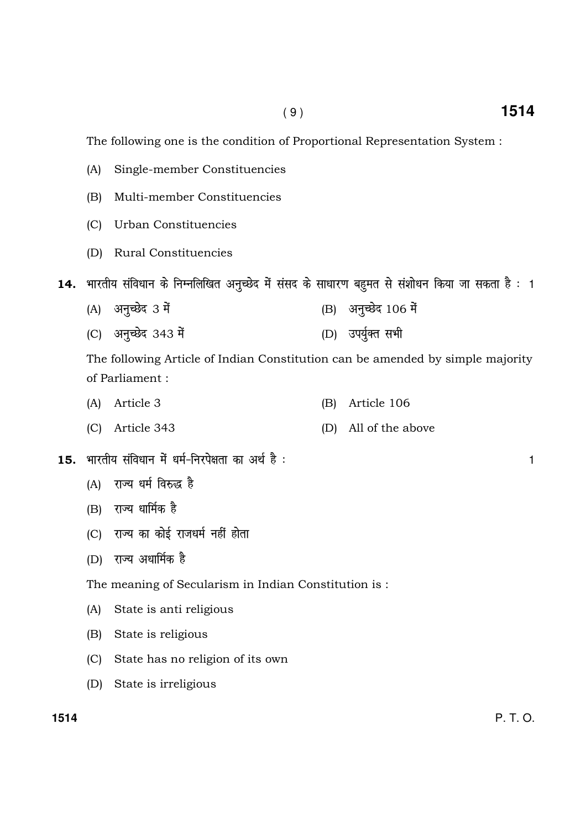The following one is the condition of Proportional Representation System :

- (A) Single-member Constituencies
- (B) Multi-member Constituencies
- (C) Urban Constituencies
- (D) Rural Constituencies

14. भारतीय संविधान के निम्नलिखित अनुच्छेद में संसद के साधारण बहुमत से संशोधन किया जा सकता है : 1

- (A) अनुच्छेद 3 में सामान करने (B) अनुच्छेद 106 में
- (C) vu qPNsn 343 es a (D) mi; q ZDr lHkh

The following Article of Indian Constitution can be amended by simple majority of Parliament :

- (A) Article 3 (B) Article 106
- (C) Article 343 (D) All of the above
- $15.$  भारतीय संविधान में धर्म-निरपेक्षता का अर्थ है :  $\,$ 
	- (A) राज्य धर्म विरुद्ध है
	- $(B)$  राज्य धार्मिक है
	- (C) राज्य का कोई राजधर्म नहीं होता
	- (D) राज्य अधार्मिक है

The meaning of Secularism in Indian Constitution is :

- (A) State is anti religious
- (B) State is religious
- (C) State has no religion of its own
- (D) State is irreligious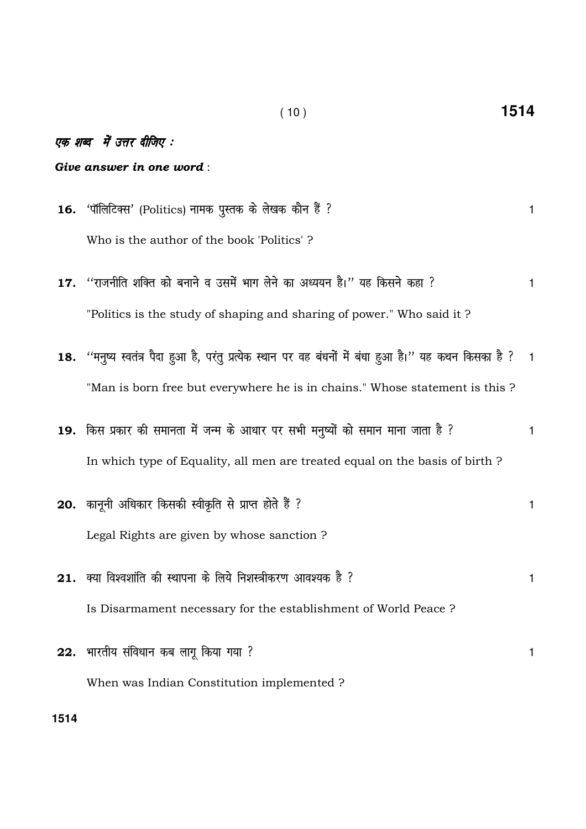## एक शब्द में उत्तर दीजिए :

#### Give answer in one word:

- 'पॉलिटिक्स' (Politics) नामक पूस्तक के लेखक कौन हैं ? 16.  $\mathbf{1}$ Who is the author of the book 'Politics'?
- 17. "राजनीति शक्ति को बनाने व उसमें भाग लेने का अध्ययन है।" यह किसने कहा ?  $\mathbf{1}$ "Politics is the study of shaping and sharing of power." Who said it?
- 18. "मनुष्य स्वतंत्र पैदा हुआ है, परंतु प्रत्येक स्थान पर वह बंधनों में बंधा हुआ है।" यह कथन किसका है ?  $\mathbf{1}$ "Man is born free but everywhere he is in chains." Whose statement is this ?
- 19. किस प्रकार की समानता में जन्म के आधार पर सभी मनुष्यों को समान माना जाता है ?  $\mathbf{1}$ In which type of Equality, all men are treated equal on the basis of birth ?
- 20. कानूनी अधिकार किसकी स्वीकृति से प्राप्त होते हैं ?  $\mathbf{1}$ Legal Rights are given by whose sanction? 21. क्या विश्वशांति की स्थापना के लिये निशस्त्रीकरण आवश्यक है ?  $\mathbf{1}$

Is Disarmament necessary for the establishment of World Peace ?

When was Indian Constitution implemented ?

22. भारतीय संविधान कब लागू किया गया ?  $\mathbf{1}$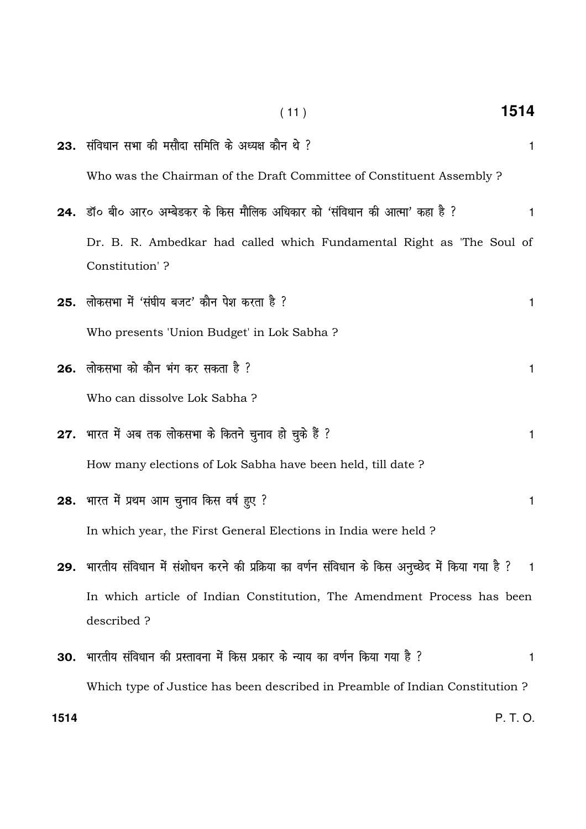|     | (11)                                                                                                    | 1514 |
|-----|---------------------------------------------------------------------------------------------------------|------|
|     | 23. संविधान सभा की मसौदा समिति के अध्यक्ष कौन थे ?                                                      | 1    |
|     | Who was the Chairman of the Draft Committee of Constituent Assembly ?                                   |      |
|     | <b>24.</b> डॉ० बी० आर० अम्बेडकर के किस मौलिक अधिकार को 'संविधान की आत्मा' कहा है ?                      | 1    |
|     | Dr. B. R. Ambedkar had called which Fundamental Right as 'The Soul of<br>Constitution'?                 |      |
| 25. | लोकसभा में 'संघीय बजट' कौन पेश करता है ?                                                                | 1    |
|     | Who presents 'Union Budget' in Lok Sabha?                                                               |      |
|     | 26. लोकसभा को कौन भंग कर सकता है ?                                                                      | 1    |
|     | Who can dissolve Lok Sabha?                                                                             |      |
|     | 27. भारत में अब तक लोकसभा के कितने चुनाव हो चुके हैं ?                                                  | 1    |
|     | How many elections of Lok Sabha have been held, till date?                                              |      |
|     | 28. भारत में प्रथम आम चुनाव किस वर्ष हुए ?                                                              | 1    |
|     | In which year, the First General Elections in India were held?                                          |      |
|     | 29.  भारतीय संविधान में संशोधन करने की प्रक्रिया का वर्णन संविधान के किस अनुच्छेद में किया गया है ?   1 |      |
|     | In which article of Indian Constitution, The Amendment Process has been                                 |      |
|     | described?                                                                                              |      |
| 30. | भारतीय संविधान की प्रस्तावना में किस प्रकार के न्याय का वर्णन किया गया है ?                             | 1    |
|     | Which type of Justice has been described in Preamble of Indian Constitution ?                           |      |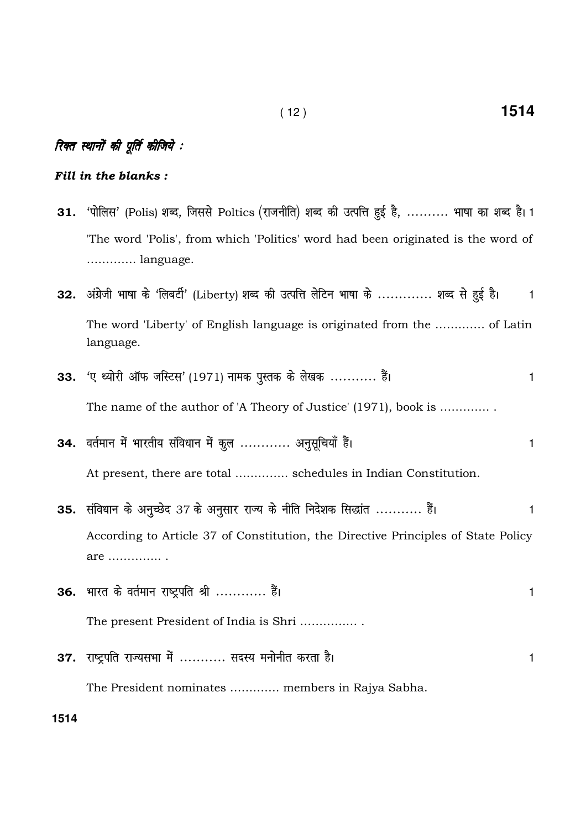#### Fill in the blanks :

- 31. 'पोलिस' (Polis) शब्द, जिससे Poltics (राजनीति) शब्द की उत्पत्ति हुई है, .......... भाषा का शब्द है। 1 'The word 'Polis', from which 'Politics' word had been originated is the word of …………. language.
- 32. अंग्रेजी भाषा के 'लिबर्टी' (Liberty) शब्द की उत्पत्ति लेटिन भाषा के ............. शब्द से हुई है। व The word 'Liberty' of English language is originated from the …………. of Latin language.
- 33.  $\kappa$  ध्योरी ऑफ जस्टिस' (1971) नामक पुस्तक के लेखक ........... हैं।  $\kappa$  and the set of 1 The name of the author of 'A Theory of Justice' (1971), book is …………. .
- 34. वर्तमान में भारतीय संविधान में कुल ............ अनुसूचियाँ हैं। At present, there are total ………….. schedules in Indian Constitution.
- 35. संविधान के अनुच्छेद 37 के अनुसार राज्य के नीति निदेशक सिद्धांत ........... हैं। 1 According to Article 37 of Constitution, the Directive Principles of State Policy are ………….. .
- $36.$  भारत के वर्तमान राष्ट्रपति श्री ............. हैं।  $1$ The present President of India is Shri …………… . 37. राष्ट्रपति राज्यसभा में ........... सदस्य मनोनीत करता है। अब वालिक करता वालिक करता करता है।

The President nominates …………. members in Rajya Sabha.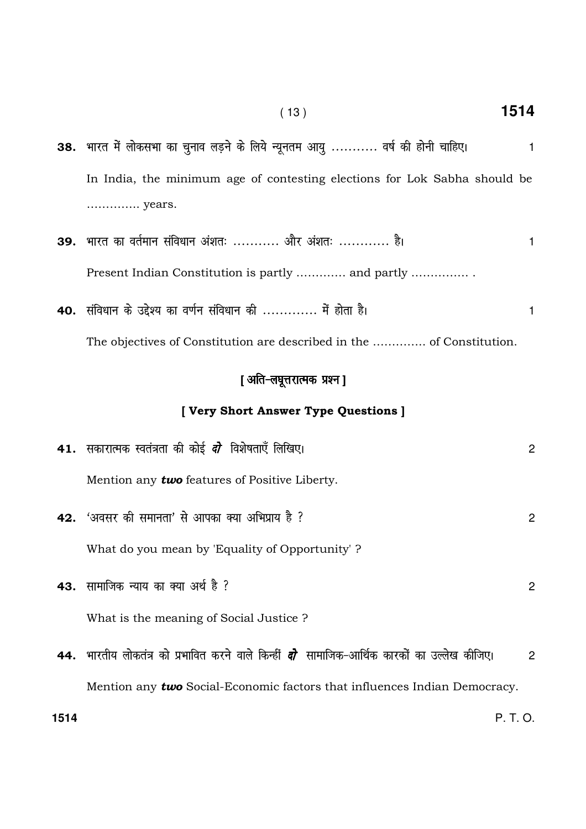| 38. भारत में लोकसभा का चुनाव लड़ने के लिये न्यूनतम आयु  वर्ष की होनी चाहिए। |  |  |  |  |  |  |
|-----------------------------------------------------------------------------|--|--|--|--|--|--|
| In India, the minimum age of contesting elections for Lok Sabha should be   |  |  |  |  |  |  |
| years.                                                                      |  |  |  |  |  |  |

- 39. भारत का वर्तमान संविधान अंशतः ........... और अंशतः ............ है।  $\mathbf{1}$ Present Indian Constitution is partly ............. and partly .................
- 40. संविधान के उद्देश्य का वर्णन संविधान की ............. में होता है।  $\mathbf{1}$ The objectives of Constitution are described in the ............... of Constitution.

## [ अति-लघूत्तरात्मक प्रश्न ]

## [Very Short Answer Type Questions ]

|      | 41. सकारात्मक स्वतंत्रता की कोई <i>दो</i> विशेषताएँ लिखिए।                                          | $\mathbf{2}^{\prime}$ |
|------|-----------------------------------------------------------------------------------------------------|-----------------------|
|      | Mention any <b>two</b> features of Positive Liberty.                                                |                       |
|      | <b>42.</b> 'अवसर की समानता' से आपका क्या अभिप्राय है ?                                              | 2                     |
|      | What do you mean by 'Equality of Opportunity'?                                                      |                       |
|      | <b>43.</b> सामाजिक न्याय का क्या अर्थ है ?                                                          | 2                     |
|      | What is the meaning of Social Justice?                                                              |                       |
|      | 44.  भारतीय लोकतंत्र को प्रभावित करने वाले किन्हीं <i>दो</i> सामाजिक–आर्थिक कारकों का उल्लेख कीजिए। | $\mathcal{P}$         |
|      | Mention any two Social-Economic factors that influences Indian Democracy.                           |                       |
| 1514 |                                                                                                     | P. I.O.               |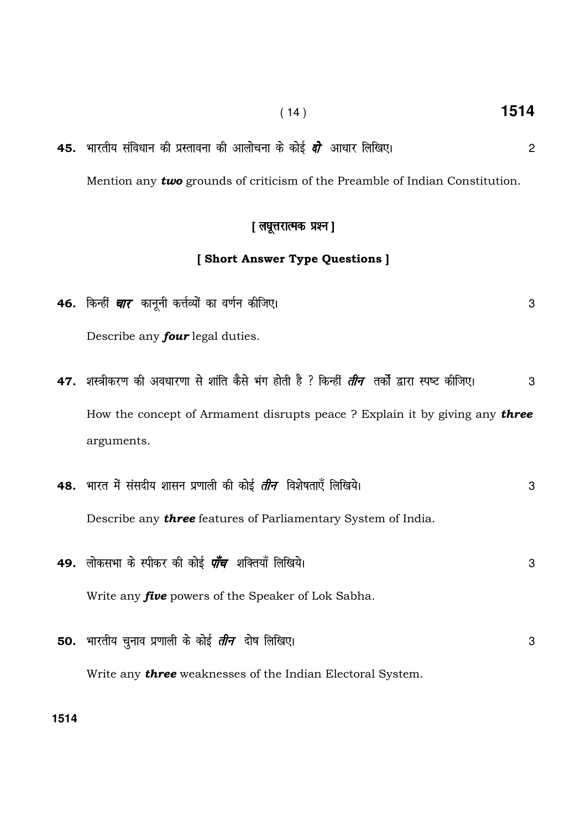45. Hkkjrh; lafo/kku dh izLrkouk dh vkykspuk d s dk sbZ nks vk/kkj fyf[k,A 2 Mention any **two** grounds of criticism of the Preamble of Indian Constitution.

#### [ लघूत्तरात्मक प्रश्न]

## [ Short Answer Type Questions ]

- 46. किन्हीं *चार* कानूनी कर्त्तव्यों का वर्णन कीजिए। संस्था का व्यक्त करने के साथ करने के अन्य अधिकारित के अन्य Describe any *four* legal duties.
- 47. शस्त्रीकरण की अवधारणा से शांति कैसे भंग होती है ? किन्हीं *तीन तर्कों द्वारा स्प*ष्ट कीजिए। 3 How the concept of Armament disrupts peace ? Explain it by giving any three arguments.

|     | 48.  भारत में संसदीय शासन प्रणाली की कोई <i>तीन</i> विशेषताएँ लिखिये। | 3 |
|-----|-----------------------------------------------------------------------|---|
|     | Describe any <b>three</b> features of Parliamentary System of India.  |   |
|     | 49. लोकसभा के स्पीकर की कोई <i>पाँच</i> शक्तियाँ लिखिये।              | 3 |
|     | Write any <i>five</i> powers of the Speaker of Lok Sabha.             |   |
| 50. | भारतीय चुनाव प्रणाली के कोई <i><b>तीन</b></i> दोष लिखिए।              | 3 |
|     | Write any <b>three</b> weaknesses of the Indian Electoral System.     |   |

**1514** 

( 14 ) **1514**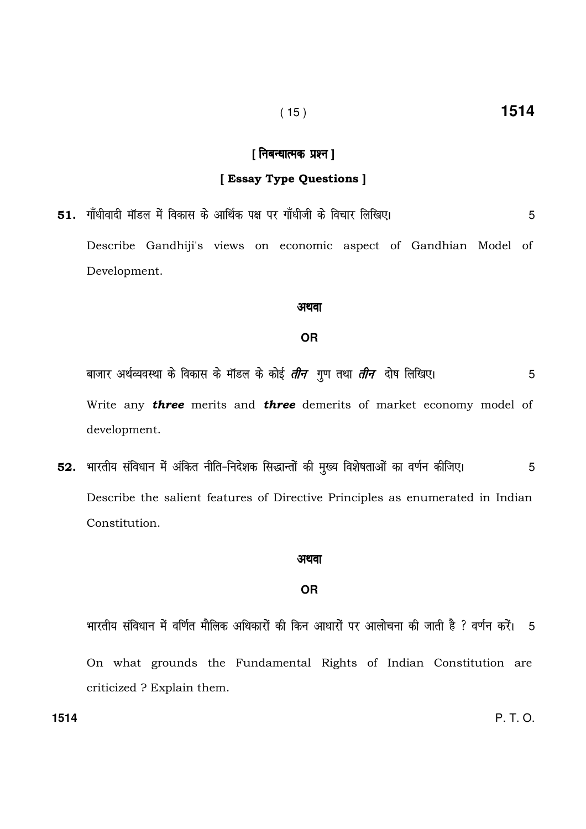## ( 15 ) **1514**

### [ निबन्धात्मक प्रश्न ]

#### [ Essay Type Questions ]

**51.** गाँधीवादी मॉडल में विकास के आर्थिक पक्ष पर गाँधीजी के विचार लिखिए। 5 Describe Gandhiji's views on economic aspect of Gandhian Model of Development.

#### अथवा

#### **OR**

cktkj vFkZO;oLFkk d s fodkl d s ekWMy ds dksbZ rhu xq.k rFkk rhu nks"k fyf[k,A 5 Write any **three** merits and **three** demerits of market economy model of development.

52. भारतीय संविधान में अंकित नीति-निदेशक सिद्धान्तों की मुख्य विशेषताओं का वर्णन कीजिए। बाद के 5 Describe the salient features of Directive Principles as enumerated in Indian Constitution.

#### अथवा

#### **OR**

भारतीय संविधान में वर्णित मौलिक अधिकारों की किन आधारों पर आलोचना की जाती है ? वर्णन करें। 5 On what grounds the Fundamental Rights of Indian Constitution are criticized ? Explain them.